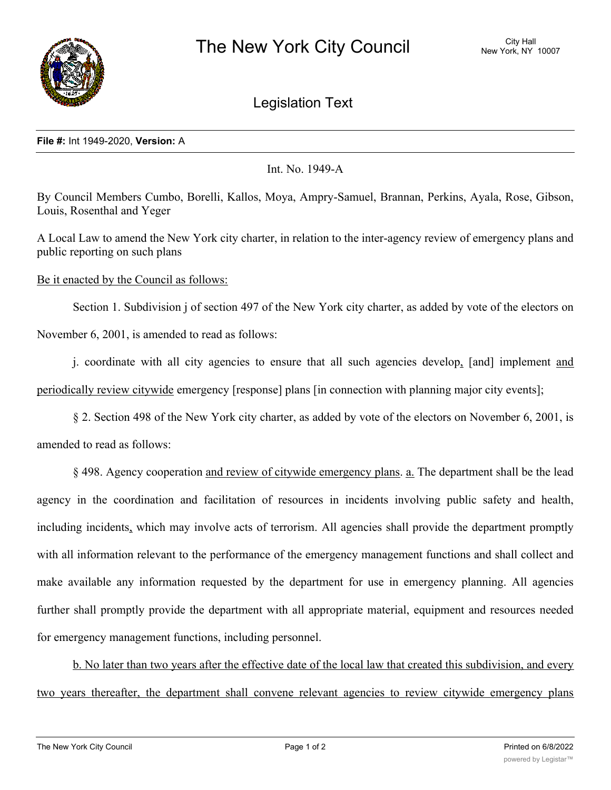

Legislation Text

## **File #:** Int 1949-2020, **Version:** A

Int. No. 1949-A

By Council Members Cumbo, Borelli, Kallos, Moya, Ampry-Samuel, Brannan, Perkins, Ayala, Rose, Gibson, Louis, Rosenthal and Yeger

A Local Law to amend the New York city charter, in relation to the inter-agency review of emergency plans and public reporting on such plans

Be it enacted by the Council as follows:

Section 1. Subdivision j of section 497 of the New York city charter, as added by vote of the electors on November 6, 2001, is amended to read as follows:

j. coordinate with all city agencies to ensure that all such agencies develop, [and] implement and periodically review citywide emergency [response] plans [in connection with planning major city events];

§ 2. Section 498 of the New York city charter, as added by vote of the electors on November 6, 2001, is amended to read as follows:

§ 498. Agency cooperation and review of citywide emergency plans. a. The department shall be the lead agency in the coordination and facilitation of resources in incidents involving public safety and health, including incidents, which may involve acts of terrorism. All agencies shall provide the department promptly with all information relevant to the performance of the emergency management functions and shall collect and make available any information requested by the department for use in emergency planning. All agencies further shall promptly provide the department with all appropriate material, equipment and resources needed for emergency management functions, including personnel.

b. No later than two years after the effective date of the local law that created this subdivision, and every two years thereafter, the department shall convene relevant agencies to review citywide emergency plans